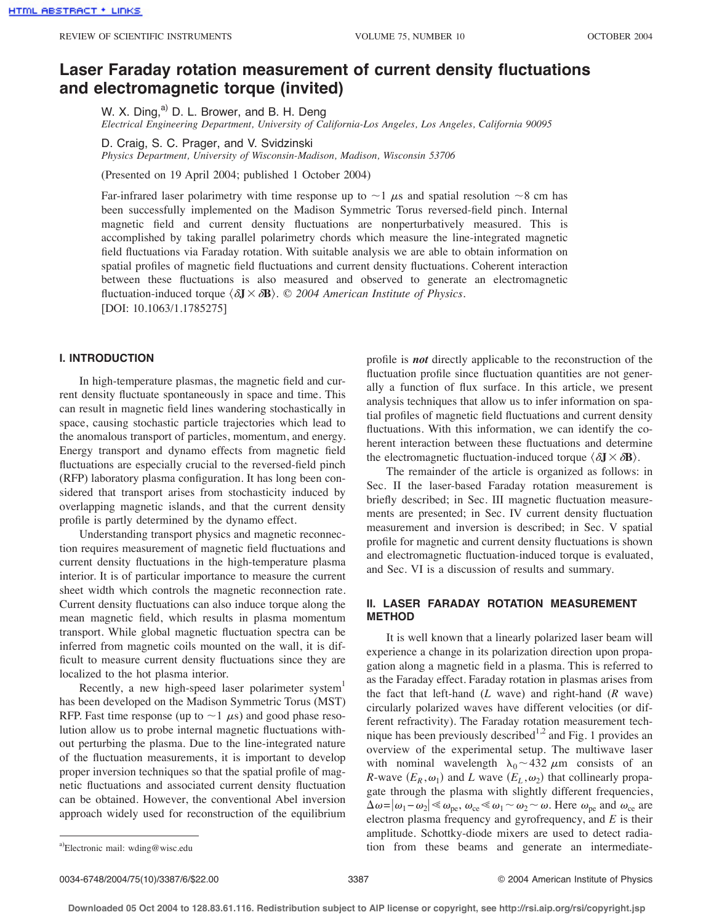# **Laser Faraday rotation measurement of current density fluctuations and electromagnetic torque (invited)**

W. X. Ding,<sup>a)</sup> D. L. Brower, and B. H. Deng *Electrical Engineering Department, University of California-Los Angeles, Los Angeles, California 90095*

D. Craig, S. C. Prager, and V. Svidzinski

*Physics Department, University of Wisconsin-Madison, Madison, Wisconsin 53706*

(Presented on 19 April 2004; published 1 October 2004)

Far-infrared laser polarimetry with time response up to  $\sim$ 1  $\mu$ s and spatial resolution  $\sim$ 8 cm has been successfully implemented on the Madison Symmetric Torus reversed-field pinch. Internal magnetic field and current density fluctuations are nonperturbatively measured. This is accomplished by taking parallel polarimetry chords which measure the line-integrated magnetic field fluctuations via Faraday rotation. With suitable analysis we are able to obtain information on spatial profiles of magnetic field fluctuations and current density fluctuations. Coherent interaction between these fluctuations is also measured and observed to generate an electromagnetic fluctuation-induced torque  $\langle \delta \mathbf{J} \times \delta \mathbf{B} \rangle$ . © 2004 American Institute of Physics. [DOI: 10.1063/1.1785275]

## **I. INTRODUCTION**

In high-temperature plasmas, the magnetic field and current density fluctuate spontaneously in space and time. This can result in magnetic field lines wandering stochastically in space, causing stochastic particle trajectories which lead to the anomalous transport of particles, momentum, and energy. Energy transport and dynamo effects from magnetic field fluctuations are especially crucial to the reversed-field pinch (RFP) laboratory plasma configuration. It has long been considered that transport arises from stochasticity induced by overlapping magnetic islands, and that the current density profile is partly determined by the dynamo effect.

Understanding transport physics and magnetic reconnection requires measurement of magnetic field fluctuations and current density fluctuations in the high-temperature plasma interior. It is of particular importance to measure the current sheet width which controls the magnetic reconnection rate. Current density fluctuations can also induce torque along the mean magnetic field, which results in plasma momentum transport. While global magnetic fluctuation spectra can be inferred from magnetic coils mounted on the wall, it is difficult to measure current density fluctuations since they are localized to the hot plasma interior.

Recently, a new high-speed laser polarimeter system<sup>1</sup> has been developed on the Madison Symmetric Torus (MST) RFP. Fast time response (up to  $\sim$  1  $\mu$ s) and good phase resolution allow us to probe internal magnetic fluctuations without perturbing the plasma. Due to the line-integrated nature of the fluctuation measurements, it is important to develop proper inversion techniques so that the spatial profile of magnetic fluctuations and associated current density fluctuation can be obtained. However, the conventional Abel inversion approach widely used for reconstruction of the equilibrium profile is *not* directly applicable to the reconstruction of the fluctuation profile since fluctuation quantities are not generally a function of flux surface. In this article, we present analysis techniques that allow us to infer information on spatial profiles of magnetic field fluctuations and current density fluctuations. With this information, we can identify the coherent interaction between these fluctuations and determine the electromagnetic fluctuation-induced torque  $\langle \delta \mathbf{J} \times \delta \mathbf{B} \rangle$ .

The remainder of the article is organized as follows: in Sec. II the laser-based Faraday rotation measurement is briefly described; in Sec. III magnetic fluctuation measurements are presented; in Sec. IV current density fluctuation measurement and inversion is described; in Sec. V spatial profile for magnetic and current density fluctuations is shown and electromagnetic fluctuation-induced torque is evaluated, and Sec. VI is a discussion of results and summary.

# **II. LASER FARADAY ROTATION MEASUREMENT METHOD**

It is well known that a linearly polarized laser beam will experience a change in its polarization direction upon propagation along a magnetic field in a plasma. This is referred to as the Faraday effect. Faraday rotation in plasmas arises from the fact that left-hand (*L* wave) and right-hand (*R* wave) circularly polarized waves have different velocities (or different refractivity). The Faraday rotation measurement technique has been previously described<sup>1,2</sup> and Fig. 1 provides an overview of the experimental setup. The multiwave laser with nominal wavelength  $\lambda_0 \sim 432 \mu m$  consists of an *R*-wave  $(E_R, \omega_1)$  and *L* wave  $(E_L, \omega_2)$  that collinearly propagate through the plasma with slightly different frequencies,  $\Delta \omega = |\omega_1 - \omega_2| \ll \omega_{pe}, \omega_{ce} \ll \omega_1 \sim \omega_2 \sim \omega$ . Here  $\omega_{pe}$  and  $\omega_{ce}$  are electron plasma frequency and gyrofrequency, and *E* is their amplitude. Schottky-diode mixers are used to detect radiation from these beams and generate an intermediate-

a)Electronic mail: wding@wisc.edu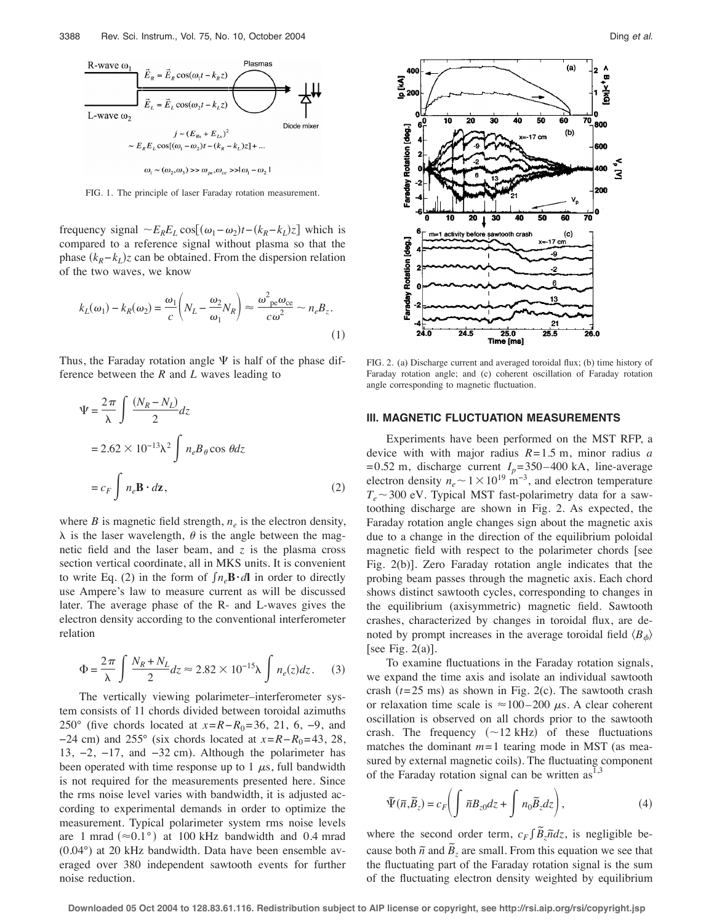

FIG. 1. The principle of laser Faraday rotation measurement.

frequency signal  $\sim E_R E_L \cos[(\omega_1 - \omega_2)t - (k_R - k_L)z]$  which is compared to a reference signal without plasma so that the phase  $(k_R - k_L)z$  can be obtained. From the dispersion relation of the two waves, we know

$$
k_L(\omega_1) - k_R(\omega_2) = \frac{\omega_1}{c} \left( N_L - \frac{\omega_2}{\omega_1} N_R \right) \approx \frac{\omega_{\text{pe}}^2 \omega_{\text{ce}}}{c \omega^2} \sim n_e B_z. \tag{1}
$$

Thus, the Faraday rotation angle  $\Psi$  is half of the phase difference between the *R* and *L* waves leading to

$$
\Psi = \frac{2\pi}{\lambda} \int \frac{(N_R - N_L)}{2} dz
$$
  
= 2.62 × 10<sup>-13</sup> $\lambda^2$   $\int n_e B_\theta \cos \theta dz$   
=  $c_F \int n_e \mathbf{B} \cdot d\mathbf{z}$ , (2)

where *B* is magnetic field strength,  $n_e$  is the electron density,  $\lambda$  is the laser wavelength,  $\theta$  is the angle between the magnetic field and the laser beam, and *z* is the plasma cross section vertical coordinate, all in MKS units. It is convenient to write Eq. (2) in the form of  $\int n_e \mathbf{B} \cdot d\mathbf{l}$  in order to directly use Ampere's law to measure current as will be discussed later. The average phase of the R- and L-waves gives the electron density according to the conventional interferometer relation

$$
\Phi = \frac{2\pi}{\lambda} \int \frac{N_R + N_L}{2} dz \approx 2.82 \times 10^{-15} \lambda \int n_e(z) dz.
$$
 (3)

The vertically viewing polarimeter–interferometer system consists of 11 chords divided between toroidal azimuths 250° (five chords located at *x*=*R*−*R*<sub>0</sub>=36, 21, 6, −9, and −24 cm) and 255° (six chords located at *x*=*R*−*R*0= 43, 28, 13, −2, −17, and −32 cm). Although the polarimeter has been operated with time response up to  $1 \mu s$ , full bandwidth is not required for the measurements presented here. Since the rms noise level varies with bandwidth, it is adjusted according to experimental demands in order to optimize the measurement. Typical polarimeter system rms noise levels are 1 mrad  $(\approx 0.1^{\circ})$  at 100 kHz bandwidth and 0.4 mrad (0.04°) at 20 kHz bandwidth. Data have been ensemble averaged over 380 independent sawtooth events for further noise reduction.



FIG. 2. (a) Discharge current and averaged toroidal flux; (b) time history of Faraday rotation angle; and (c) coherent oscillation of Faraday rotation angle corresponding to magnetic fluctuation.

#### **III. MAGNETIC FLUCTUATION MEASUREMENTS**

Experiments have been performed on the MST RFP, a device with with major radius *R*= 1.5 m, minor radius *a* = 0.52 m, discharge current  $I_p$ = 350–400 kA, line-average electron density  $n_e \sim 1 \times 10^{19} \text{ m}^{-3}$ , and electron temperature  $T_e \sim 300$  eV. Typical MST fast-polarimetry data for a sawtoothing discharge are shown in Fig. 2. As expected, the Faraday rotation angle changes sign about the magnetic axis due to a change in the direction of the equilibrium poloidal magnetic field with respect to the polarimeter chords [see Fig. 2(b)]. Zero Faraday rotation angle indicates that the probing beam passes through the magnetic axis. Each chord shows distinct sawtooth cycles, corresponding to changes in the equilibrium (axisymmetric) magnetic field. Sawtooth crashes, characterized by changes in toroidal flux, are denoted by prompt increases in the average toroidal field  $\langle B_{\phi} \rangle$ [see Fig.  $2(a)$ ].

To examine fluctuations in the Faraday rotation signals, we expand the time axis and isolate an individual sawtooth crash  $(t= 25 \text{ ms})$  as shown in Fig. 2(c). The sawtooth crash or relaxation time scale is  $\approx$ 100–200  $\mu$ s. A clear coherent oscillation is observed on all chords prior to the sawtooth crash. The frequency  $({\sim}12 \text{ kHz})$  of these fluctuations matches the dominant  $m=1$  tearing mode in MST (as measured by external magnetic coils). The fluctuating component of the Faraday rotation signal can be written  $as<sup>1</sup>$ 

$$
\widetilde{\Psi}(\widetilde{n}, \widetilde{B}_z) = c_F \bigg( \int \widetilde{n} B_{z0} dz + \int n_0 \widetilde{B}_z dz \bigg), \tag{4}
$$

where the second order term,  $c_F \int \tilde{B}_z \tilde{n} dz$ , is negligible because both  $\tilde{n}$  and  $\tilde{B}_z$  are small. From this equation we see that the fluctuating part of the Faraday rotation signal is the sum of the fluctuating electron density weighted by equilibrium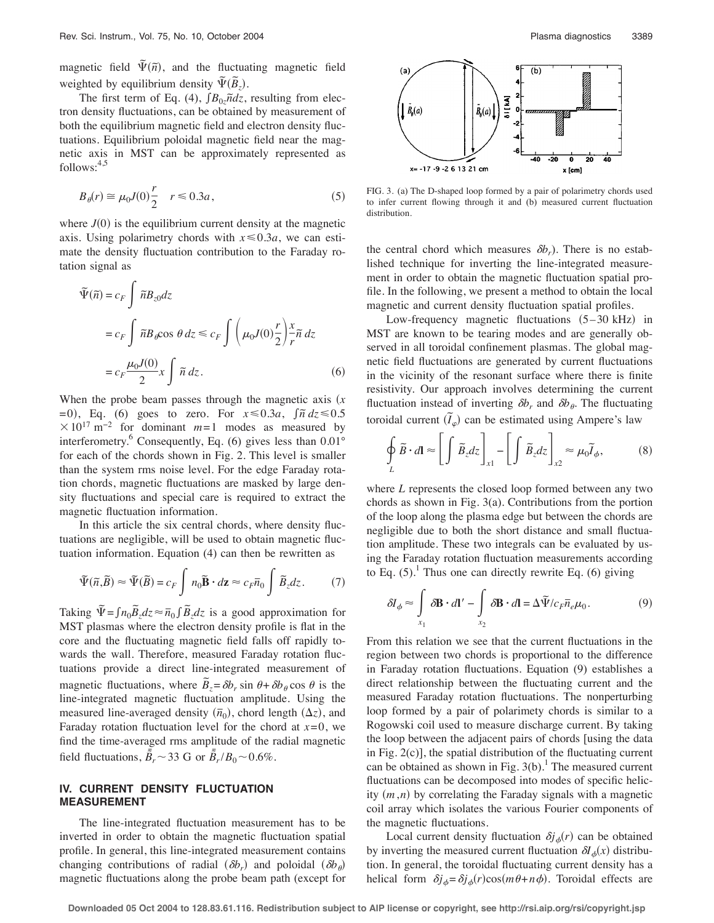magnetic field  $\tilde{\Psi}(\tilde{n})$ , and the fluctuating magnetic field weighted by equilibrium density  $\tilde{\Psi}(\tilde{B}_z)$ .

The first term of Eq. (4),  $\int B_{0z} \tilde{n} dz$ , resulting from electron density fluctuations, can be obtained by measurement of both the equilibrium magnetic field and electron density fluctuations. Equilibrium poloidal magnetic field near the magnetic axis in MST can be approximately represented as follows: $4,5$ 

$$
B_{\theta}(r) \cong \mu_0 J(0) \frac{r}{2} \quad r \le 0.3a,
$$
\n<sup>(5)</sup>

where  $J(0)$  is the equilibrium current density at the magnetic axis. Using polarimetry chords with  $x \le 0.3a$ , we can estimate the density fluctuation contribution to the Faraday rotation signal as

$$
\tilde{\Psi}(\tilde{n}) = c_F \int \tilde{n} B_{z0} dz
$$
\n
$$
= c_F \int \tilde{n} B_{\theta} \cos \theta \, dz \leq c_F \int \left( \mu_0 J(0) \frac{r}{2} \right) \frac{x}{r} \tilde{n} \, dz
$$
\n
$$
= c_F \frac{\mu_0 J(0)}{2} x \int \tilde{n} \, dz. \tag{6}
$$

When the probe beam passes through the magnetic axis  $(x<sub>x</sub>)$  $= 0$ ), Eq. (6) goes to zero. For  $x \le 0.3a$ ,  $\int \tilde{n} \, dz \le 0.5$  $\times 10^{17}$  m<sup>-2</sup> for dominant *m*=1 modes as measured by interferometry.<sup>6</sup> Consequently, Eq. (6) gives less than  $0.01^{\circ}$ for each of the chords shown in Fig. 2. This level is smaller than the system rms noise level. For the edge Faraday rotation chords, magnetic fluctuations are masked by large density fluctuations and special care is required to extract the magnetic fluctuation information.

In this article the six central chords, where density fluctuations are negligible, will be used to obtain magnetic fluctuation information. Equation (4) can then be rewritten as

$$
\widetilde{\Psi}(\widetilde{n},\widetilde{B}) \approx \widetilde{\Psi}(\widetilde{B}) = c_F \int n_0 \widetilde{\mathbf{B}} \cdot d\mathbf{z} \approx c_F \overline{n}_0 \int \widetilde{B}_z dz.
$$
 (7)

Taking  $\tilde{\Psi} = \int n_0 \tilde{B}_z dz \approx \overline{n}_0 \int \tilde{B}_z dz$  is a good approximation for MST plasmas where the electron density profile is flat in the core and the fluctuating magnetic field falls off rapidly towards the wall. Therefore, measured Faraday rotation fluctuations provide a direct line-integrated measurement of magnetic fluctuations, where  $\overline{B}_z = \delta b_r \sin \theta + \delta b_\theta \cos \theta$  is the line-integrated magnetic fluctuation amplitude. Using the measured line-averaged density  $(\bar{n}_0)$ , chord length  $(\Delta z)$ , and Faraday rotation fluctuation level for the chord at  $x=0$ , we find the time-averaged rms amplitude of the radial magnetic field fluctuations,  $\bar{\tilde{B}}_r \sim 33$  G or  $\bar{\tilde{B}}_r/B_0 \sim 0.6\%$ .

# **IV. CURRENT DENSITY FLUCTUATION MEASUREMENT**

The line-integrated fluctuation measurement has to be inverted in order to obtain the magnetic fluctuation spatial profile. In general, this line-integrated measurement contains changing contributions of radial  $(\delta b_r)$  and poloidal  $(\delta b_\theta)$ magnetic fluctuations along the probe beam path (except for



FIG. 3. (a) The D-shaped loop formed by a pair of polarimetry chords used to infer current flowing through it and (b) measured current fluctuation distribution.

the central chord which measures  $\delta b_r$ ). There is no established technique for inverting the line-integrated measurement in order to obtain the magnetic fluctuation spatial profile. In the following, we present a method to obtain the local magnetic and current density fluctuation spatial profiles.

Low-frequency magnetic fluctuations  $(5-30$  kHz) in MST are known to be tearing modes and are generally observed in all toroidal confinement plasmas. The global magnetic field fluctuations are generated by current fluctuations in the vicinity of the resonant surface where there is finite resistivity. Our approach involves determining the current fluctuation instead of inverting  $\delta b_r$  and  $\delta b_\theta$ . The fluctuating toroidal current  $(\tilde{I}_{\varphi})$  can be estimated using Ampere's law

$$
\oint_{L} \widetilde{B} \cdot d\mathbf{l} \approx \left[ \int \widetilde{B}_z dz \right]_{x1} - \left[ \int \widetilde{B}_z dz \right]_{x2} \approx \mu_0 \widetilde{I}_{\phi},\tag{8}
$$

where *L* represents the closed loop formed between any two chords as shown in Fig. 3(a). Contributions from the portion of the loop along the plasma edge but between the chords are negligible due to both the short distance and small fluctuation amplitude. These two integrals can be evaluated by using the Faraday rotation fluctuation measurements according to Eq.  $(5)$ .<sup>1</sup> Thus one can directly rewrite Eq.  $(6)$  giving

$$
\delta I_{\phi} \approx \int_{x_1} \delta \mathbf{B} \cdot d\mathbf{l}' - \int_{x_2} \delta \mathbf{B} \cdot d\mathbf{l} = \Delta \tilde{\Psi}/c_F \overline{n}_e \mu_0.
$$
 (9)

From this relation we see that the current fluctuations in the region between two chords is proportional to the difference in Faraday rotation fluctuations. Equation (9) establishes a direct relationship between the fluctuating current and the measured Faraday rotation fluctuations. The nonperturbing loop formed by a pair of polarimety chords is similar to a Rogowski coil used to measure discharge current. By taking the loop between the adjacent pairs of chords [using the data in Fig.  $2(c)$ ], the spatial distribution of the fluctuating current can be obtained as shown in Fig.  $3(b)$ . The measured current fluctuations can be decomposed into modes of specific helicity  $(m,n)$  by correlating the Faraday signals with a magnetic coil array which isolates the various Fourier components of the magnetic fluctuations.

Local current density fluctuation  $\delta j_{\phi}(r)$  can be obtained by inverting the measured current fluctuation  $\delta I_{\phi}(x)$  distribution. In general, the toroidal fluctuating current density has a helical form  $\delta j_{\phi} = \delta j_{\phi}(r) \cos(m\theta + n\phi)$ . Toroidal effects are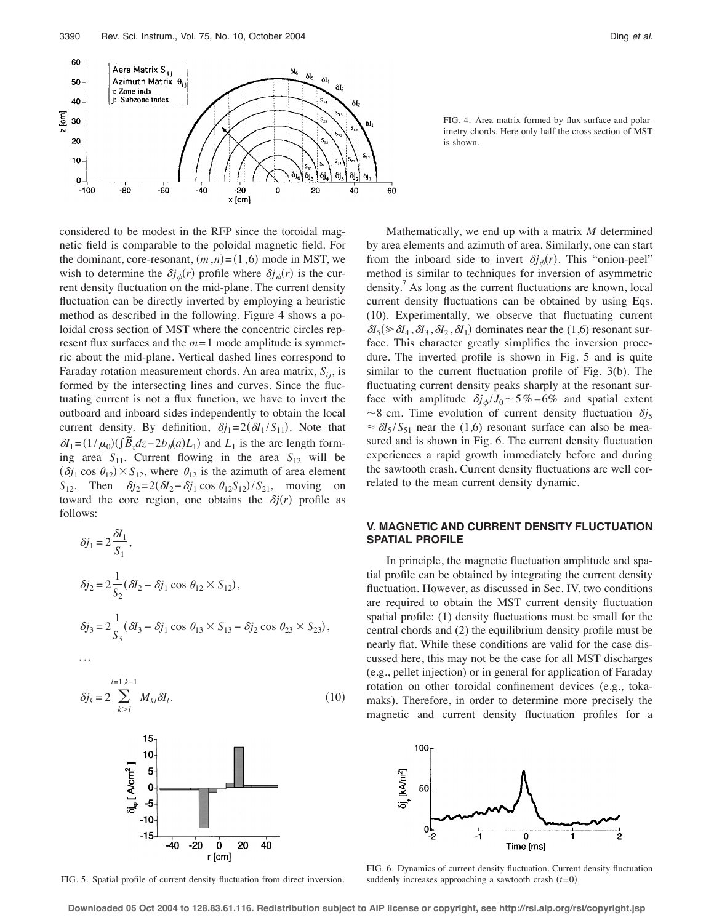

considered to be modest in the RFP since the toroidal magnetic field is comparable to the poloidal magnetic field. For the dominant, core-resonant,  $(m, n) = (1, 6)$  mode in MST, we wish to determine the  $\delta j_a(r)$  profile where  $\delta j_a(r)$  is the current density fluctuation on the mid-plane. The current density fluctuation can be directly inverted by employing a heuristic method as described in the following. Figure 4 shows a poloidal cross section of MST where the concentric circles represent flux surfaces and the *m*= 1 mode amplitude is symmetric about the mid-plane. Vertical dashed lines correspond to Faraday rotation measurement chords. An area matrix,  $S_{ij}$ , is formed by the intersecting lines and curves. Since the fluctuating current is not a flux function, we have to invert the outboard and inboard sides independently to obtain the local current density. By definition,  $\delta j_1 = 2(\delta l_1 / S_{11})$ . Note that  $\delta I_1 = (1/\mu_0)(\int \tilde{B}_z dz - 2b_\theta(a)L_1$  and  $L_1$  is the arc length forming area  $S_{11}$ . Current flowing in the area  $S_{12}$  will be  $(\delta j_1 \cos \theta_{12}) \times S_{12}$ , where  $\theta_{12}$  is the azimuth of area element  $S_{12}$ . Then  $\delta j_2 = 2(\delta l_2 - \delta j_1 \cos \theta_{12} S_{12})/S_{21}$ , moving on toward the core region, one obtains the  $\delta j(r)$  profile as follows:

$$
\delta j_1 = 2 \frac{\delta I_1}{S_1},
$$
  
\n
$$
\delta j_2 = 2 \frac{1}{S_2} (\delta I_2 - \delta j_1 \cos \theta_{12} \times S_{12}),
$$
  
\n
$$
\delta j_3 = 2 \frac{1}{S_3} (\delta I_3 - \delta j_1 \cos \theta_{13} \times S_{13} - \delta j_2 \cos \theta_{23} \times S_{23}),
$$
  
\n...

$$
\delta j_k = 2 \sum_{k>l}^{l=1,k-1} M_{kl} \delta l_l. \tag{10}
$$



FIG. 4. Area matrix formed by flux surface and polarimetry chords. Here only half the cross section of MST is shown.

Mathematically, we end up with a matrix *M* determined by area elements and azimuth of area. Similarly, one can start from the inboard side to invert  $\delta j_{\phi}(r)$ . This "onion-peel" method is similar to techniques for inversion of asymmetric density.<sup>7</sup> As long as the current fluctuations are known, local current density fluctuations can be obtained by using Eqs. (10). Experimentally, we observe that fluctuating current  $\delta I_5 \approx \delta I_4$ ,  $\delta I_3$ ,  $\delta I_2$ ,  $\delta I_1$ ) dominates near the (1,6) resonant surface. This character greatly simplifies the inversion procedure. The inverted profile is shown in Fig. 5 and is quite similar to the current fluctuation profile of Fig. 3(b). The fluctuating current density peaks sharply at the resonant surface with amplitude  $\delta j_{\phi}/J_0 \sim 5\% - 6\%$  and spatial extent  $\sim$ 8 cm. Time evolution of current density fluctuation  $\delta j_5$  $\approx \delta I_5 / S_{51}$  near the (1,6) resonant surface can also be measured and is shown in Fig. 6. The current density fluctuation experiences a rapid growth immediately before and during the sawtooth crash. Current density fluctuations are well correlated to the mean current density dynamic.

## **V. MAGNETIC AND CURRENT DENSITY FLUCTUATION SPATIAL PROFILE**

In principle, the magnetic fluctuation amplitude and spatial profile can be obtained by integrating the current density fluctuation. However, as discussed in Sec. IV, two conditions are required to obtain the MST current density fluctuation spatial profile: (1) density fluctuations must be small for the central chords and (2) the equilibrium density profile must be nearly flat. While these conditions are valid for the case discussed here, this may not be the case for all MST discharges (e.g., pellet injection) or in general for application of Faraday rotation on other toroidal confinement devices (e.g., tokamaks). Therefore, in order to determine more precisely the magnetic and current density fluctuation profiles for a



FIG. 6. Dynamics of current density fluctuation. Current density fluctuation suddenly increases approaching a sawtooth crash  $(t=0)$ .

**Downloaded 05 Oct 2004 to 128.83.61.116. Redistribution subject to AIP license or copyright, see http://rsi.aip.org/rsi/copyright.jsp**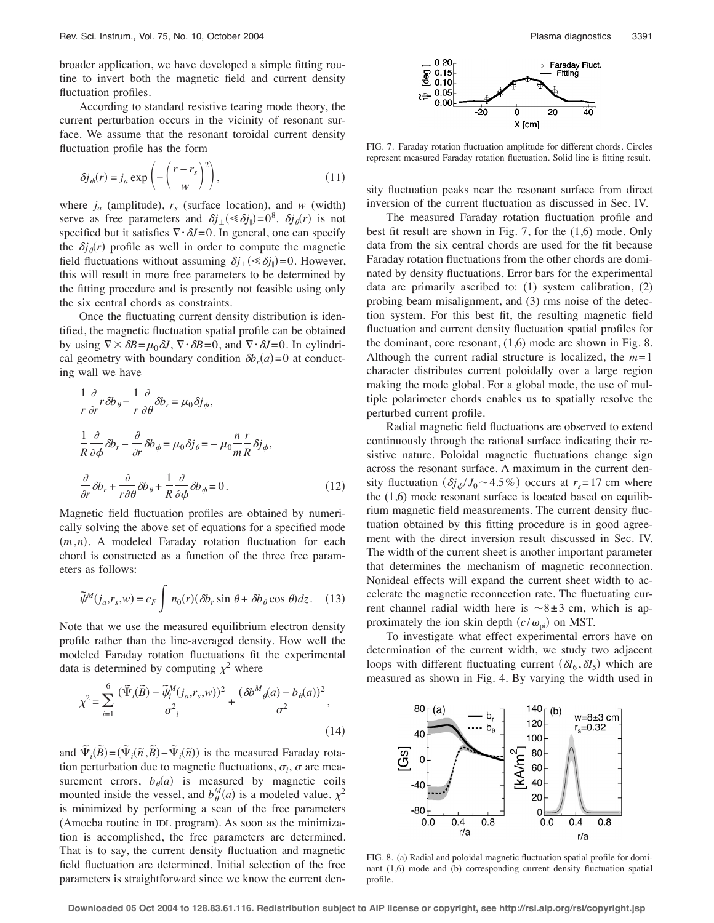broader application, we have developed a simple fitting routine to invert both the magnetic field and current density fluctuation profiles.

According to standard resistive tearing mode theory, the current perturbation occurs in the vicinity of resonant surface. We assume that the resonant toroidal current density fluctuation profile has the form

$$
\delta j_{\phi}(r) = j_a \exp\left(-\left(\frac{r - r_s}{w}\right)^2\right),\tag{11}
$$

where  $j_a$  (amplitude),  $r_s$  (surface location), and *w* (width) serve as free parameters and  $\delta j_{\perp} (\ll \delta j_{\parallel}) = 0^8$ .  $\delta j_{\theta}(r)$  is not specified but it satisfies  $\nabla \cdot \delta J = 0$ . In general, one can specify the  $\delta j_{\theta}(r)$  profile as well in order to compute the magnetic field fluctuations without assuming  $\delta j_{\parallel} (\ll \delta j_{\parallel}) = 0$ . However, this will result in more free parameters to be determined by the fitting procedure and is presently not feasible using only the six central chords as constraints.

Once the fluctuating current density distribution is identified, the magnetic fluctuation spatial profile can be obtained by using  $\nabla \times \delta B = \mu_0 \delta J$ ,  $\nabla \cdot \delta B = 0$ , and  $\nabla \cdot \delta J = 0$ . In cylindrical geometry with boundary condition  $\delta b_r(a) = 0$  at conducting wall we have

$$
\frac{1}{r} \frac{\partial}{\partial r} r \delta b_{\theta} - \frac{1}{r} \frac{\partial}{\partial \theta} \delta b_{r} = \mu_{0} \delta j_{\phi},
$$
\n
$$
\frac{1}{R} \frac{\partial}{\partial \phi} \delta b_{r} - \frac{\partial}{\partial r} \delta b_{\phi} = \mu_{0} \delta j_{\theta} = -\mu_{0} \frac{n}{m} \frac{r}{R} \delta j_{\phi},
$$
\n
$$
\frac{\partial}{\partial r} \delta b_{r} + \frac{\partial}{r \partial \theta} \delta b_{\theta} + \frac{1}{R} \frac{\partial}{\partial \phi} \delta b_{\phi} = 0.
$$
\n(12)

Magnetic field fluctuation profiles are obtained by numerically solving the above set of equations for a specified mode  $(m,n)$ . A modeled Faraday rotation fluctuation for each chord is constructed as a function of the three free parameters as follows:

$$
\widetilde{\psi}^M(j_a, r_s, w) = c_F \int n_0(r) (\delta b_r \sin \theta + \delta b_\theta \cos \theta) dz. \quad (13)
$$

Note that we use the measured equilibrium electron density profile rather than the line-averaged density. How well the modeled Faraday rotation fluctuations fit the experimental data is determined by computing  $\chi^2$  where

$$
\chi^2 = \sum_{i=1}^6 \frac{(\tilde{\Psi}_i(\tilde{B}) - \tilde{\psi}_i^M(j_a, r_s, w))^2}{\sigma_i^2} + \frac{(\delta b^M_{\theta}(a) - b_{\theta}(a))^2}{\sigma^2},
$$
\n(14)

and  $\tilde{\Psi}_i(\tilde{B}) = (\tilde{\Psi}_i(\tilde{n}, \tilde{B}) - \tilde{\Psi}_i(\tilde{n}))$  is the measured Faraday rotation perturbation due to magnetic fluctuations,  $\sigma_i$ ,  $\sigma$  are measurement errors,  $b_{\theta}(a)$  is measured by magnetic coils mounted inside the vessel, and  $b^M_{\theta}(a)$  is a modeled value.  $\chi^2$ is minimized by performing a scan of the free parameters (Amoeba routine in IDL program). As soon as the minimization is accomplished, the free parameters are determined. That is to say, the current density fluctuation and magnetic field fluctuation are determined. Initial selection of the free parameters is straightforward since we know the current den-



FIG. 7. Faraday rotation fluctuation amplitude for different chords. Circles represent measured Faraday rotation fluctuation. Solid line is fitting result.

sity fluctuation peaks near the resonant surface from direct inversion of the current fluctuation as discussed in Sec. IV.

The measured Faraday rotation fluctuation profile and best fit result are shown in Fig. 7, for the (1,6) mode. Only data from the six central chords are used for the fit because Faraday rotation fluctuations from the other chords are dominated by density fluctuations. Error bars for the experimental data are primarily ascribed to: (1) system calibration, (2) probing beam misalignment, and (3) rms noise of the detection system. For this best fit, the resulting magnetic field fluctuation and current density fluctuation spatial profiles for the dominant, core resonant, (1,6) mode are shown in Fig. 8. Although the current radial structure is localized, the *m*= 1 character distributes current poloidally over a large region making the mode global. For a global mode, the use of multiple polarimeter chords enables us to spatially resolve the perturbed current profile.

Radial magnetic field fluctuations are observed to extend continuously through the rational surface indicating their resistive nature. Poloidal magnetic fluctuations change sign across the resonant surface. A maximum in the current density fluctuation  $(\delta j_a / J_0 \sim 4.5\%)$  occurs at  $r_s = 17$  cm where the (1,6) mode resonant surface is located based on equilibrium magnetic field measurements. The current density fluctuation obtained by this fitting procedure is in good agreement with the direct inversion result discussed in Sec. IV. The width of the current sheet is another important parameter that determines the mechanism of magnetic reconnection. Nonideal effects will expand the current sheet width to accelerate the magnetic reconnection rate. The fluctuating current channel radial width here is  $\sim 8\pm 3$  cm, which is approximately the ion skin depth  $(c/\omega_{pi})$  on MST.

To investigate what effect experimental errors have on determination of the current width, we study two adjacent loops with different fluctuating current  $(\delta I_6, \delta I_5)$  which are measured as shown in Fig. 4. By varying the width used in



FIG. 8. (a) Radial and poloidal magnetic fluctuation spatial profile for dominant (1,6) mode and (b) corresponding current density fluctuation spatial profile.

**Downloaded 05 Oct 2004 to 128.83.61.116. Redistribution subject to AIP license or copyright, see http://rsi.aip.org/rsi/copyright.jsp**